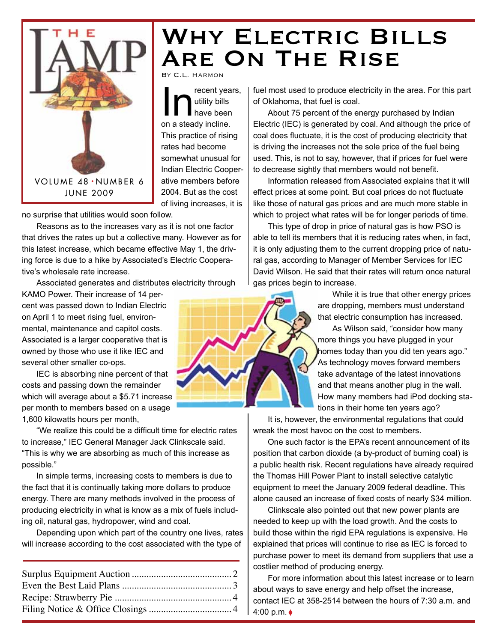

### WHY ELECTRIC BILLS Are On The Rise By C.L. Harmon

In The Unit of Search Years,<br>
In A steady incline. utility bills have been This practice of rising rates had become somewhat unusual for Indian Electric Cooperative members before 2004. But as the cost of living increases, it is

no surprise that utilities would soon follow.

Reasons as to the increases vary as it is not one factor that drives the rates up but a collective many. However as for this latest increase, which became effective May 1, the driving force is due to a hike by Associated's Electric Cooperative's wholesale rate increase.

Associated generates and distributes electricity through

KAMO Power. Their increase of 14 percent was passed down to Indian Electric on April 1 to meet rising fuel, environmental, maintenance and capitol costs. Associated is a larger cooperative that is owned by those who use it like IEC and several other smaller co-ops.

IEC is absorbing nine percent of that costs and passing down the remainder which will average about a \$5.71 increase per month to members based on a usage 1,600 kilowatts hours per month,

"We realize this could be a difficult time for electric rates to increase," IEC General Manager Jack Clinkscale said. "This is why we are absorbing as much of this increase as possible."

In simple terms, increasing costs to members is due to the fact that it is continually taking more dollars to produce energy. There are many methods involved in the process of producing electricity in what is know as a mix of fuels including oil, natural gas, hydropower, wind and coal.

Depending upon which part of the country one lives, rates will increase according to the cost associated with the type of

fuel most used to produce electricity in the area. For this part of Oklahoma, that fuel is coal.

About 75 percent of the energy purchased by Indian Electric (IEC) is generated by coal. And although the price of coal does fluctuate, it is the cost of producing electricity that is driving the increases not the sole price of the fuel being used. This, is not to say, however, that if prices for fuel were to decrease sightly that members would not benefit.

Information released from Associated explains that it will effect prices at some point. But coal prices do not fluctuate like those of natural gas prices and are much more stable in which to project what rates will be for longer periods of time.

This type of drop in price of natural gas is how PSO is able to tell its members that it is reducing rates when, in fact, it is only adjusting them to the current dropping price of natural gas, according to Manager of Member Services for IEC David Wilson. He said that their rates will return once natural gas prices begin to increase.

> While it is true that other energy prices are dropping, members must understand that electric consumption has increased.

As Wilson said, "consider how many more things you have plugged in your homes today than you did ten years ago." As technology moves forward members take advantage of the latest innovations and that means another plug in the wall. How many members had iPod docking stations in their home ten years ago?

It is, however, the environmental regulations that could wreak the most havoc on the cost to members.

One such factor is the EPA's recent announcement of its position that carbon dioxide (a by-product of burning coal) is a public health risk. Recent regulations have already required the Thomas Hill Power Plant to install selective catalytic equipment to meet the January 2009 federal deadline. This alone caused an increase of fixed costs of nearly \$34 million.

Clinkscale also pointed out that new power plants are needed to keep up with the load growth. And the costs to build those within the rigid EPA regulations is expensive. He explained that prices will continue to rise as IEC is forced to purchase power to meet its demand from suppliers that use a costlier method of producing energy.

For more information about this latest increase or to learn about ways to save energy and help offset the increase, contact IEC at 358-2514 between the hours of 7:30 a.m. and 4:00 p.m. ◊

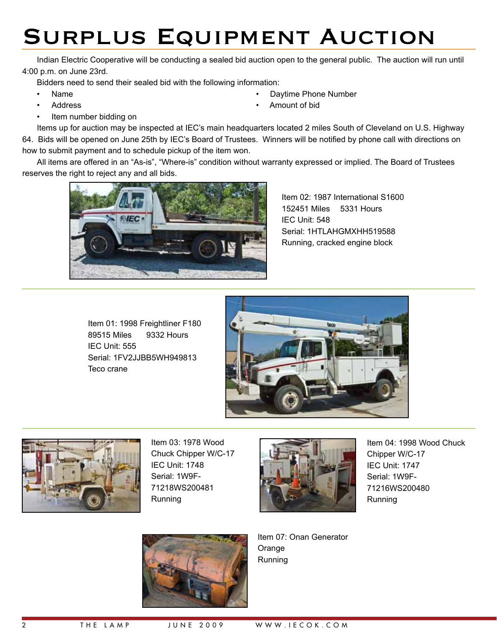# Surplus Equipment Auction

Indian Electric Cooperative will be conducting a sealed bid auction open to the general public. The auction will run until 4:00 p.m. on June 23rd.

Bidders need to send their sealed bid with the following information:

- 
- 
- Item number bidding on
- Name Daytime Phone Number
- Address Amount of bid

Items up for auction may be inspected at IEC's main headquarters located 2 miles South of Cleveland on U.S. Highway 64. Bids will be opened on June 25th by IEC's Board of Trustees. Winners will be notified by phone call with directions on how to submit payment and to schedule pickup of the item won.

All items are offered in an "As-is", "Where-is" condition without warranty expressed or implied. The Board of Trustees reserves the right to reject any and all bids.



Item 02: 1987 International S1600 152451 Miles 5331 Hours IEC Unit: 548 Serial: 1HTLAHGMXHH519588 Running, cracked engine block

Item 01: 1998 Freightliner F180 89515 Miles 9332 Hours IEC Unit: 555 Serial: 1FV2JJBB5WH949813 Teco crane





Item 03: 1978 Wood Chuck Chipper W/C-17 IEC Unit: 1748 Serial: 1W9F-71218WS200481 Running



Item 04: 1998 Wood Chuck Chipper W/C-17 IEC Unit: 1747 Serial: 1W9F-71216WS200480 Running



Item 07: Onan Generator Orange Running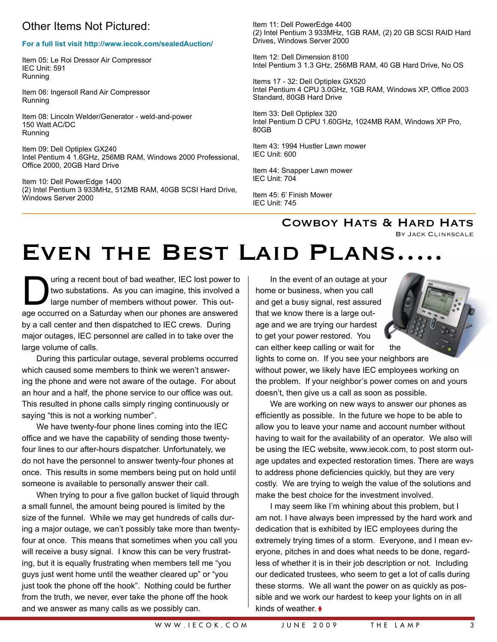### Other Items Not Pictured:

#### **For a full list visit http://www.iecok.com/sealedAuction/**

Item 05: Le Roi Dressor Air Compressor IEC Unit: 591 Running

Item 06: Ingersoll Rand Air Compressor Running

Item 08: Lincoln Welder/Generator - weld-and-power 150 Watt AC/DC Running

Item 09: Dell Optiplex GX240 Intel Pentium 4 1.6GHz, 256MB RAM, Windows 2000 Professional, Office 2000, 20GB Hard Drive

Item 10: Dell PowerEdge 1400 (2) Intel Pentium 3 933MHz, 512MB RAM, 40GB SCSI Hard Drive, Windows Server 2000

Item 11: Dell PowerEdge 4400 (2) Intel Pentium 3 933MHz, 1GB RAM, (2) 20 GB SCSI RAID Hard Drives, Windows Server 2000

Item 12: Dell Dimension 8100 Intel Pentium 3 1.3 GHz, 256MB RAM, 40 GB Hard Drive, No OS

Items 17 - 32: Dell Optiplex GX520 Intel Pentium 4 CPU 3.0GHz, 1GB RAM, Windows XP, Office 2003 Standard, 80GB Hard Drive

Item 33: Dell Optiplex 320 Intel Pentium D CPU 1.60GHz, 1024MB RAM, Windows XP Pro, 80GB

Item 43: 1994 Hustler Lawn mower IEC Unit: 600

Item 44: Snapper Lawn mower IEC Unit: 704

Item 45: 6' Finish Mower IEC Unit: 745

### COWBOY HATS & HARD HATS

By Jack Clinkscale

# EVEN THE BEST LAID PLANS...

The uring a recent bout of bad weather, IEC lost power to<br>two substations. As you can imagine, this involved a<br>large number of members without power. This out-<br>are occurred on a Saturday when our phones are answered two substations. As you can imagine, this involved a large number of members without power. This outage occurred on a Saturday when our phones are answered by a call center and then dispatched to IEC crews. During major outages, IEC personnel are called in to take over the large volume of calls.

During this particular outage, several problems occurred which caused some members to think we weren't answering the phone and were not aware of the outage. For about an hour and a half, the phone service to our office was out. This resulted in phone calls simply ringing continuously or saying "this is not a working number".

We have twenty-four phone lines coming into the IEC office and we have the capability of sending those twentyfour lines to our after-hours dispatcher. Unfortunately, we do not have the personnel to answer twenty-four phones at once. This results in some members being put on hold until someone is available to personally answer their call.

When trying to pour a five gallon bucket of liquid through a small funnel, the amount being poured is limited by the size of the funnel. While we may get hundreds of calls during a major outage, we can't possibly take more than twentyfour at once. This means that sometimes when you call you will receive a busy signal. I know this can be very frustrating, but it is equally frustrating when members tell me "you guys just went home until the weather cleared up" or "you just took the phone off the hook". Nothing could be further from the truth, we never, ever take the phone off the hook and we answer as many calls as we possibly can.

In the event of an outage at your home or business, when you call and get a busy signal, rest assured that we know there is a large outage and we are trying our hardest to get your power restored. You can either keep calling or wait for the lights to come on. If you see your neighbors are without power, we likely have IEC employees working on the problem. If your neighbor's power comes on and yours doesn't, then give us a call as soon as possible.

We are working on new ways to answer our phones as efficiently as possible. In the future we hope to be able to allow you to leave your name and account number without having to wait for the availability of an operator. We also will be using the IEC website, www.iecok.com, to post storm outage updates and expected restoration times. There are ways to address phone deficiencies quickly, but they are very costly. We are trying to weigh the value of the solutions and make the best choice for the investment involved.

I may seem like I'm whining about this problem, but I am not. I have always been impressed by the hard work and dedication that is exhibited by IEC employees during the extremely trying times of a storm. Everyone, and I mean everyone, pitches in and does what needs to be done, regardless of whether it is in their job description or not. Including our dedicated trustees, who seem to get a lot of calls during these storms. We all want the power on as quickly as possible and we work our hardest to keep your lights on in all kinds of weather ♦